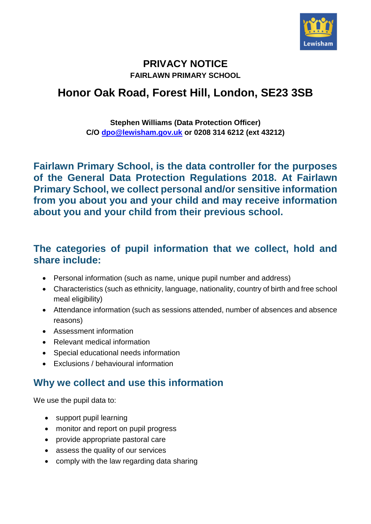

#### **PRIVACY NOTICE FAIRLAWN PRIMARY SCHOOL**

# **Honor Oak Road, Forest Hill, London, SE23 3SB**

#### **Stephen Williams (Data Protection Officer) C/O [dpo@lewisham.gov.uk](mailto:dpo@lewisham.gov.uk) or 0208 314 6212 (ext 43212)**

**Fairlawn Primary School, is the data controller for the purposes of the General Data Protection Regulations 2018. At Fairlawn Primary School, we collect personal and/or sensitive information from you about you and your child and may receive information about you and your child from their previous school.**

#### **The categories of pupil information that we collect, hold and share include:**

- Personal information (such as name, unique pupil number and address)
- Characteristics (such as ethnicity, language, nationality, country of birth and free school meal eligibility)
- Attendance information (such as sessions attended, number of absences and absence reasons)
- Assessment information
- Relevant medical information
- Special educational needs information
- Exclusions / behavioural information

# **Why we collect and use this information**

We use the pupil data to:

- support pupil learning
- monitor and report on pupil progress
- provide appropriate pastoral care
- assess the quality of our services
- comply with the law regarding data sharing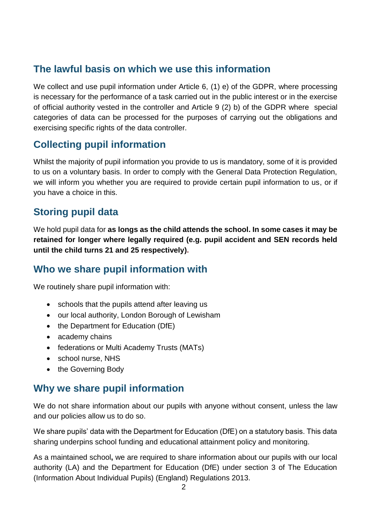## **The lawful basis on which we use this information**

We collect and use pupil information under Article 6, (1) e) of the GDPR, where processing is necessary for the performance of a task carried out in the public interest or in the exercise of official authority vested in the controller and Article 9 (2) b) of the GDPR where special categories of data can be processed for the purposes of carrying out the obligations and exercising specific rights of the data controller.

## **Collecting pupil information**

Whilst the majority of pupil information you provide to us is mandatory, some of it is provided to us on a voluntary basis. In order to comply with the General Data Protection Regulation, we will inform you whether you are required to provide certain pupil information to us, or if you have a choice in this.

## **Storing pupil data**

We hold pupil data for **as longs as the child attends the school. In some cases it may be retained for longer where legally required (e.g. pupil accident and SEN records held until the child turns 21 and 25 respectively).**

## **Who we share pupil information with**

We routinely share pupil information with:

- schools that the pupils attend after leaving us
- our local authority, London Borough of Lewisham
- the Department for Education (DfE)
- academy chains
- federations or Multi Academy Trusts (MATs)
- school nurse, NHS
- the Governing Body

## **Why we share pupil information**

We do not share information about our pupils with anyone without consent, unless the law and our policies allow us to do so.

We share pupils' data with the Department for Education (DfE) on a statutory basis. This data sharing underpins school funding and educational attainment policy and monitoring.

As a maintained school**,** we are required to share information about our pupils with our local authority (LA) and the Department for Education (DfE) under section 3 of The Education (Information About Individual Pupils) (England) Regulations 2013.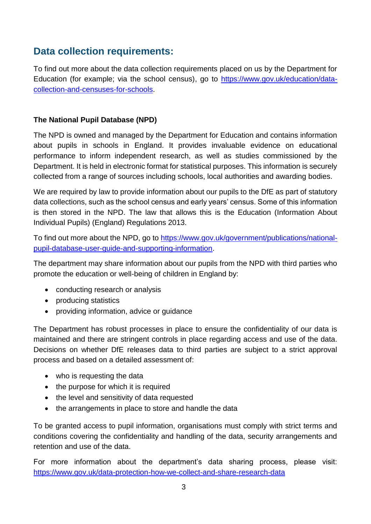#### **Data collection requirements:**

To find out more about the data collection requirements placed on us by the Department for Education (for example; via the school census), go to [https://www.gov.uk/education/data](https://www.gov.uk/education/data-collection-and-censuses-for-schools)[collection-and-censuses-for-schools.](https://www.gov.uk/education/data-collection-and-censuses-for-schools)

#### **The National Pupil Database (NPD)**

The NPD is owned and managed by the Department for Education and contains information about pupils in schools in England. It provides invaluable evidence on educational performance to inform independent research, as well as studies commissioned by the Department. It is held in electronic format for statistical purposes. This information is securely collected from a range of sources including schools, local authorities and awarding bodies.

We are required by law to provide information about our pupils to the DfE as part of statutory data collections, such as the school census and early years' census. Some of this information is then stored in the NPD. The law that allows this is the Education (Information About Individual Pupils) (England) Regulations 2013.

To find out more about the NPD, go to [https://www.gov.uk/government/publications/national](https://www.gov.uk/government/publications/national-pupil-database-user-guide-and-supporting-information)[pupil-database-user-guide-and-supporting-information.](https://www.gov.uk/government/publications/national-pupil-database-user-guide-and-supporting-information)

The department may share information about our pupils from the NPD with third parties who promote the education or well-being of children in England by:

- conducting research or analysis
- producing statistics
- providing information, advice or guidance

The Department has robust processes in place to ensure the confidentiality of our data is maintained and there are stringent controls in place regarding access and use of the data. Decisions on whether DfE releases data to third parties are subject to a strict approval process and based on a detailed assessment of:

- who is requesting the data
- the purpose for which it is required
- the level and sensitivity of data requested
- the arrangements in place to store and handle the data

To be granted access to pupil information, organisations must comply with strict terms and conditions covering the confidentiality and handling of the data, security arrangements and retention and use of the data.

For more information about the department's data sharing process, please visit: <https://www.gov.uk/data-protection-how-we-collect-and-share-research-data>